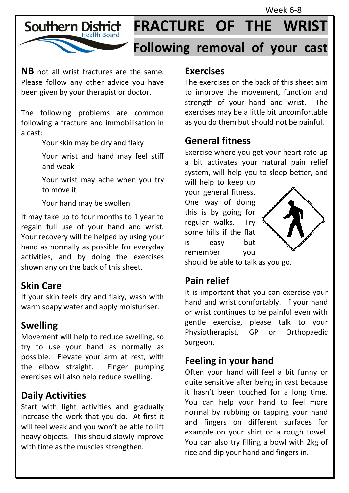Week 6-8



# **FRACTURE OF THE WRIST**

# **Following removal of your cast**

**NB** not all wrist fractures are the same. Please follow any other advice you have been given by your therapist or doctor.

The following problems are common following a fracture and immobilisation in a cast:

Your skin may be dry and flaky

Your wrist and hand may feel stiff and weak

Your wrist may ache when you try to move it

Your hand may be swollen

It may take up to four months to 1 year to regain full use of your hand and wrist. Your recovery will be helped by using your hand as normally as possible for everyday activities, and by doing the exercises shown any on the back of this sheet.

#### **Skin Care**

If your skin feels dry and flaky, wash with warm soapy water and apply moisturiser.

# **Swelling**

Movement will help to reduce swelling, so try to use your hand as normally as possible. Elevate your arm at rest, with the elbow straight. Finger pumping exercises will also help reduce swelling.

# **Daily Activities**

Start with light activities and gradually increase the work that you do. At first it will feel weak and you won't be able to lift heavy objects. This should slowly improve with time as the muscles strengthen.

#### **Exercises**

The exercises on the back of this sheet aim to improve the movement, function and strength of your hand and wrist. The exercises may be a little bit uncomfortable as you do them but should not be painful.

#### **General fitness**

Exercise where you get your heart rate up a bit activates your natural pain relief system, will help you to sleep better, and

will help to keep up your general fitness. One way of doing this is by going for regular walks. Try some hills if the flat is easy but remember you



should be able to talk as you go.

# **Pain relief**

It is important that you can exercise your hand and wrist comfortably. If your hand or wrist continues to be painful even with gentle exercise, please talk to your Physiotherapist, GP or Orthopaedic Surgeon.

# **Feeling in your hand**

Often your hand will feel a bit funny or quite sensitive after being in cast because it hasn't been touched for a long time. You can help your hand to feel more normal by rubbing or tapping your hand and fingers on different surfaces for example on your shirt or a rough towel. You can also try filling a bowl with 2kg of rice and dip your hand and fingers in.